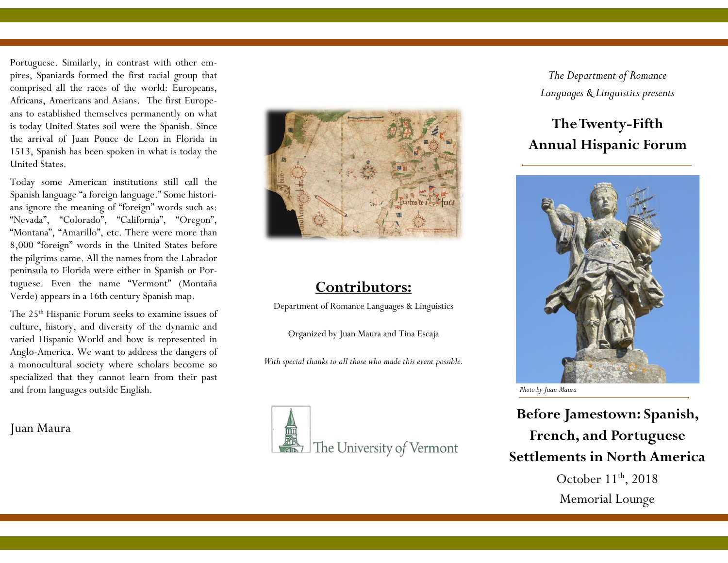Portuguese. Similarly, in contrast with other empires, Spaniards formed the first racial group that comprised all the races of the world: Europeans, Africans, Americans and Asians. The first Europeans to established themselves permanently on what is today United States soil were the Spanish. Since the arrival of Juan Ponce de Leon in Florida in 1513, Spanish has been spoken in what is today the United States.

Today some American institutions still call the Spanish language "a foreign language." Some historians ignore the meaning of "foreign" words such as: "Nevada", "Colorado", "California", "Oregon", "Montana", "Amarillo", etc. There were more than 8,000 "foreign" words in the United States before the pilgrims came. All the names from the Labrador peninsula to Florida were either in Spanish or Portuguese. Even the name "Vermont" (Montaña Verde) appears in a 16th century Spanish map.

The 25th Hispanic Forum seeks to examine issues of culture, history, and diversity of the dynamic and varied Hispanic World and how is represented in Anglo-America. We want to address the dangers of a monocultural society where scholars become so specialized that they cannot learn from their past and from languages outside English.

Juan Maura



# **Contributors:**

Department of Romance Languages & Linguistics

Organized by Juan Maura and Tina Escaja

*With special thanks to all those who made this event possible.*



*The Department of Romance Languages & Linguistics presents*

# **The Twenty-Fifth Annual Hispanic Forum**



*Photo by Juan Maura*

**Before Jamestown: Spanish, French, and Portuguese Settlements in North America** October  $11<sup>th</sup>$ , 2018

Memorial Lounge